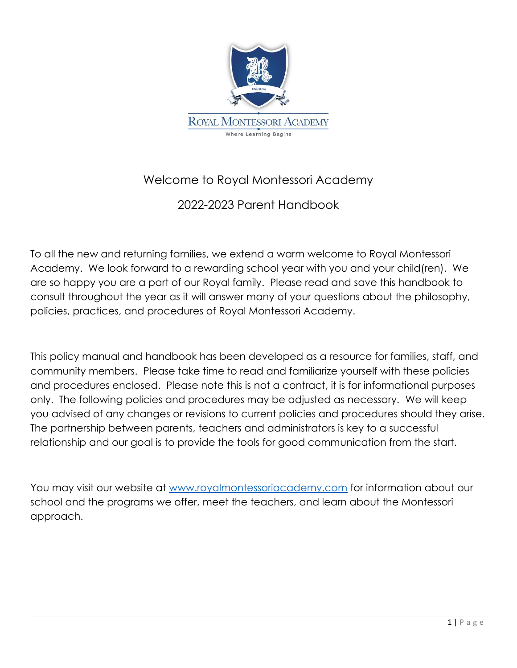

### Welcome to Royal Montessori Academy

### 2022-2023 Parent Handbook

To all the new and returning families, we extend a warm welcome to Royal Montessori Academy. We look forward to a rewarding school year with you and your child(ren). We are so happy you are a part of our Royal family. Please read and save this handbook to consult throughout the year as it will answer many of your questions about the philosophy, policies, practices, and procedures of Royal Montessori Academy.

This policy manual and handbook has been developed as a resource for families, staff, and community members. Please take time to read and familiarize yourself with these policies and procedures enclosed. Please note this is not a contract, it is for informational purposes only. The following policies and procedures may be adjusted as necessary. We will keep you advised of any changes or revisions to current policies and procedures should they arise. The partnership between parents, teachers and administrators is key to a successful relationship and our goal is to provide the tools for good communication from the start.

You may visit our website at [www.royalmontessoriacademy.com](http://www.royalmontessoriacademy.com/) for information about our school and the programs we offer, meet the teachers, and learn about the Montessori approach.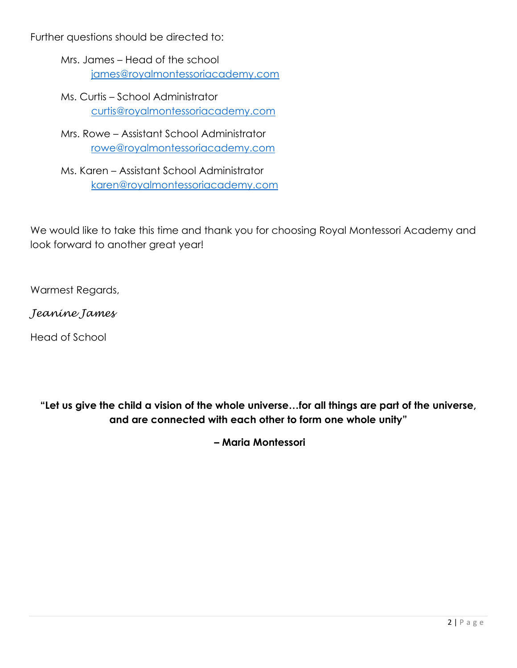Further questions should be directed to:

- Mrs. James Head of the school [james@royalmontessoriacademy.com](mailto:james@royalmontessoriacademy.com)
- Ms. Curtis School Administrator [curtis@royalmontessoriacademy.com](mailto:curtis@royalmontessoriacademy.com)
- Mrs. Rowe Assistant School Administrator [rowe@royalmontessoriacademy.com](mailto:rowe@royalmontessoriacademy.com)
- Ms. Karen Assistant School Administrator [karen@royalmontessoriacademy.com](mailto:karen@royalmontessoriacademy.com)

We would like to take this time and thank you for choosing Royal Montessori Academy and look forward to another great year!

Warmest Regards,

*Jeanine James*

Head of School

**"Let us give the child a vision of the whole universe…for all things are part of the universe, and are connected with each other to form one whole unity"**

**– Maria Montessori**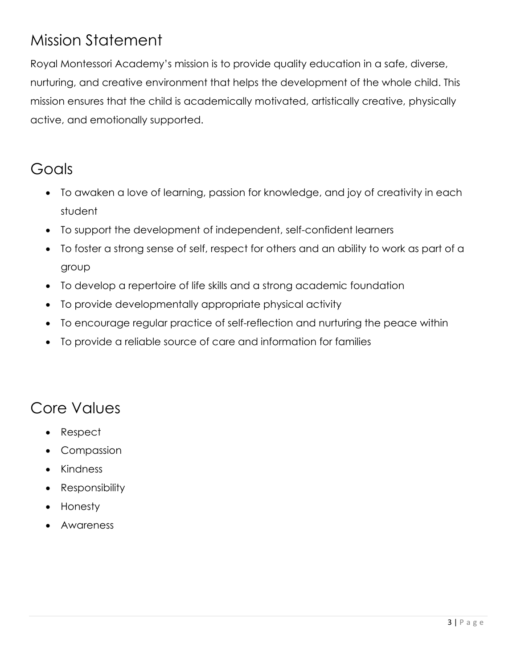# Mission Statement

Royal Montessori Academy's mission is to provide quality education in a safe, diverse, nurturing, and creative environment that helps the development of the whole child. This mission ensures that the child is academically motivated, artistically creative, physically active, and emotionally supported.

### **Goals**

- To awaken a love of learning, passion for knowledge, and joy of creativity in each student
- To support the development of independent, self-confident learners
- To foster a strong sense of self, respect for others and an ability to work as part of a group
- To develop a repertoire of life skills and a strong academic foundation
- To provide developmentally appropriate physical activity
- To encourage regular practice of self-reflection and nurturing the peace within
- To provide a reliable source of care and information for families

### Core Values

- Respect
- Compassion
- Kindness
- Responsibility
- Honesty
- Awareness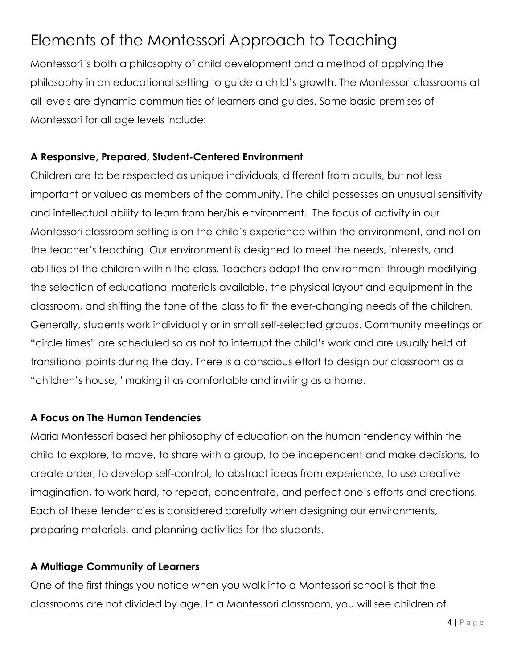## Elements of the Montessori Approach to Teaching

Montessori is both a philosophy of child development and a method of applying the philosophy in an educational setting to guide a child's growth. The Montessori classrooms at all levels are dynamic communities of learners and guides. Some basic premises of Montessori for all age levels include:

#### **A Responsive, Prepared, Student-Centered Environment**

Children are to be respected as unique individuals, different from adults, but not less important or valued as members of the community. The child possesses an unusual sensitivity and intellectual ability to learn from her/his environment. The focus of activity in our Montessori classroom setting is on the child's experience within the environment, and not on the teacher's teaching. Our environment is designed to meet the needs, interests, and abilities of the children within the class. Teachers adapt the environment through modifying the selection of educational materials available, the physical layout and equipment in the classroom, and shifting the tone of the class to fit the ever-changing needs of the children. Generally, students work individually or in small self-selected groups. Community meetings or "circle times" are scheduled so as not to interrupt the child's work and are usually held at transitional points during the day. There is a conscious effort to design our classroom as a "children's house," making it as comfortable and inviting as a home.

#### **A Focus on The Human Tendencies**

Maria Montessori based her philosophy of education on the human tendency within the child to explore, to move, to share with a group, to be independent and make decisions, to create order, to develop self-control, to abstract ideas from experience, to use creative imagination, to work hard, to repeat, concentrate, and perfect one's efforts and creations. Each of these tendencies is considered carefully when designing our environments, preparing materials, and planning activities for the students.

#### **A Multiage Community of Learners**

One of the first things you notice when you walk into a Montessori school is that the classrooms are not divided by age. In a Montessori classroom, you will see children of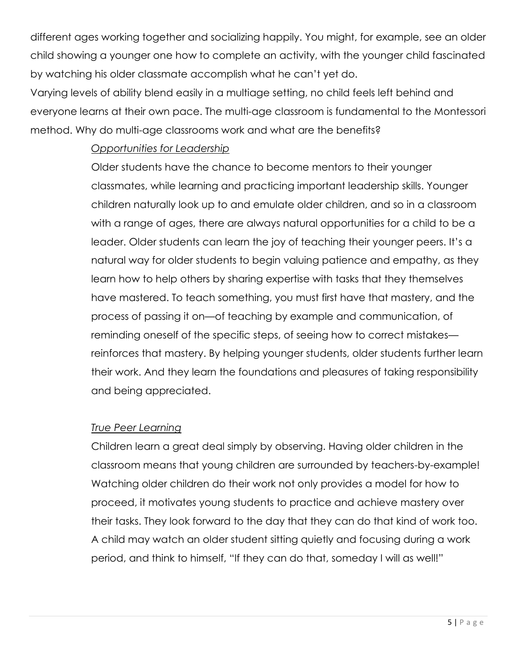different ages working together and socializing happily. You might, for example, see an older child showing a younger one how to complete an activity, with the younger child fascinated by watching his older classmate accomplish what he can't yet do.

Varying levels of ability blend easily in a multiage setting, no child feels left behind and everyone learns at their own pace. The multi-age classroom is fundamental to the Montessori method. Why do multi-age classrooms work and what are the benefits?

#### *Opportunities for Leadership*

Older students have the chance to become mentors to their younger classmates, while learning and practicing important leadership skills. Younger children naturally look up to and emulate older children, and so in a classroom with a range of ages, there are always natural opportunities for a child to be a leader. Older students can learn the joy of teaching their younger peers. It's a natural way for older students to begin valuing patience and empathy, as they learn how to help others by sharing expertise with tasks that they themselves have mastered. To teach something, you must first have that mastery, and the process of passing it on—of teaching by example and communication, of reminding oneself of the specific steps, of seeing how to correct mistakes reinforces that mastery. By helping younger students, older students further learn their work. And they learn the foundations and pleasures of taking responsibility and being appreciated.

#### *True Peer Learning*

Children learn a great deal simply by observing. Having older children in the classroom means that young children are surrounded by teachers-by-example! Watching older children do their work not only provides a model for how to proceed, it motivates young students to practice and achieve mastery over their tasks. They look forward to the day that they can do that kind of work too. A child may watch an older student sitting quietly and focusing during a work period, and think to himself, "If they can do that, someday I will as well!"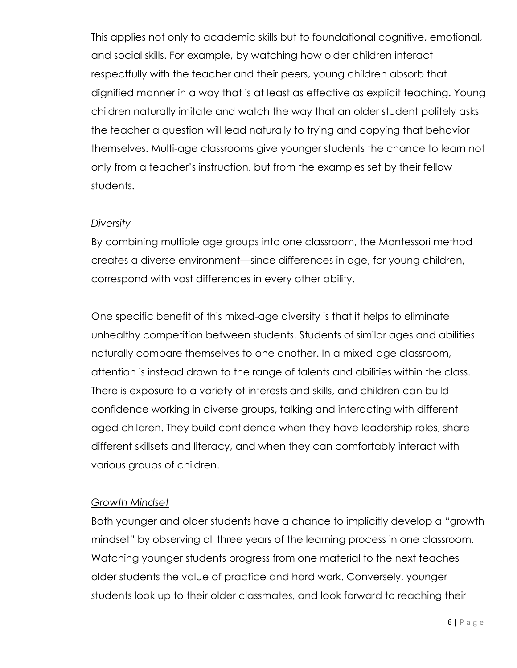This applies not only to academic skills but to foundational cognitive, emotional, and social skills. For example, by watching how older children interact respectfully with the teacher and their peers, young children absorb that dignified manner in a way that is at least as effective as explicit teaching. Young children naturally imitate and watch the way that an older student politely asks the teacher a question will lead naturally to trying and copying that behavior themselves. Multi-age classrooms give younger students the chance to learn not only from a teacher's instruction, but from the examples set by their fellow students.

#### *Diversity*

By combining multiple age groups into one classroom, the Montessori method creates a diverse environment—since differences in age, for young children, correspond with vast differences in every other ability.

One specific benefit of this mixed-age diversity is that it helps to eliminate unhealthy competition between students. Students of similar ages and abilities naturally compare themselves to one another. In a mixed-age classroom, attention is instead drawn to the range of talents and abilities within the class. There is exposure to a variety of interests and skills, and children can build confidence working in diverse groups, talking and interacting with different aged children. They build confidence when they have leadership roles, share different skillsets and literacy, and when they can comfortably interact with various groups of children.

#### *Growth Mindset*

Both younger and older students have a chance to implicitly develop a "growth mindset" by observing all three years of the learning process in one classroom. Watching younger students progress from one material to the next teaches older students the value of practice and hard work. Conversely, younger students look up to their older classmates, and look forward to reaching their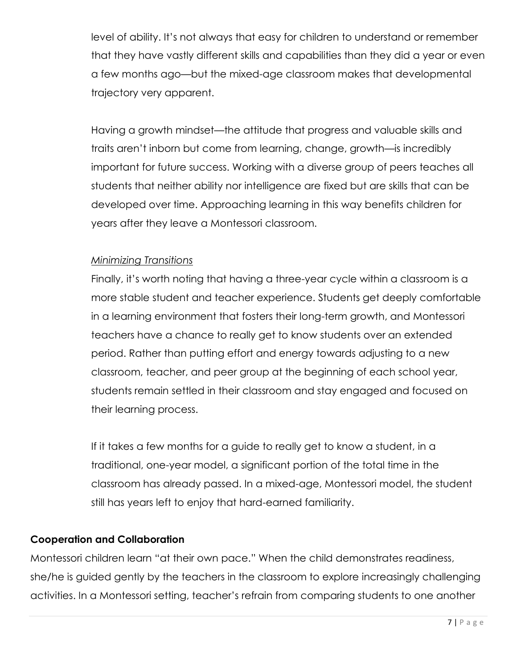level of ability. It's not always that easy for children to understand or remember that they have vastly different skills and capabilities than they did a year or even a few months ago—but the mixed-age classroom makes that developmental trajectory very apparent.

Having a growth mindset—the attitude that progress and valuable skills and traits aren't inborn but come from learning, change, growth—is incredibly important for future success. Working with a diverse group of peers teaches all students that neither ability nor intelligence are fixed but are skills that can be developed over time. Approaching learning in this way benefits children for years after they leave a Montessori classroom.

#### *Minimizing Transitions*

Finally, it's worth noting that having a three-year cycle within a classroom is a more stable student and teacher experience. Students get deeply comfortable in a learning environment that fosters their long-term growth, and Montessori teachers have a chance to really get to know students over an extended period. Rather than putting effort and energy towards adjusting to a new classroom, teacher, and peer group at the beginning of each school year, students remain settled in their classroom and stay engaged and focused on their learning process.

If it takes a few months for a guide to really get to know a student, in a traditional, one-year model, a significant portion of the total time in the classroom has already passed. In a mixed-age, Montessori model, the student still has years left to enjoy that hard-earned familiarity.

#### **Cooperation and Collaboration**

Montessori children learn "at their own pace." When the child demonstrates readiness, she/he is guided gently by the teachers in the classroom to explore increasingly challenging activities. In a Montessori setting, teacher's refrain from comparing students to one another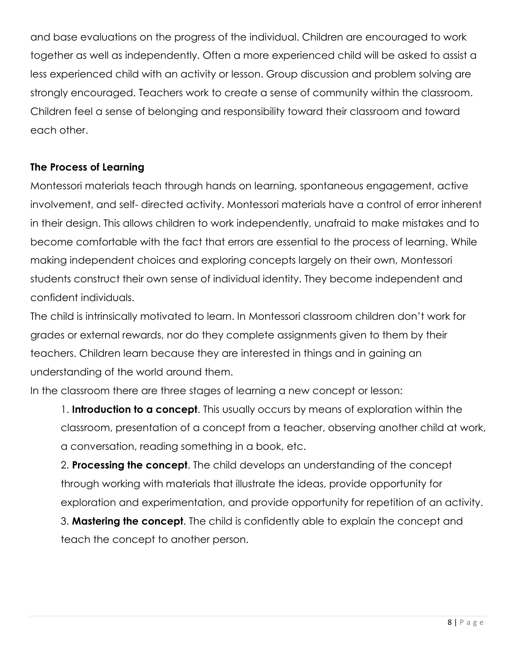and base evaluations on the progress of the individual. Children are encouraged to work together as well as independently. Often a more experienced child will be asked to assist a less experienced child with an activity or lesson. Group discussion and problem solving are strongly encouraged. Teachers work to create a sense of community within the classroom. Children feel a sense of belonging and responsibility toward their classroom and toward each other.

#### **The Process of Learning**

Montessori materials teach through hands on learning, spontaneous engagement, active involvement, and self- directed activity. Montessori materials have a control of error inherent in their design. This allows children to work independently, unafraid to make mistakes and to become comfortable with the fact that errors are essential to the process of learning. While making independent choices and exploring concepts largely on their own, Montessori students construct their own sense of individual identity. They become independent and confident individuals.

The child is intrinsically motivated to learn. In Montessori classroom children don't work for grades or external rewards, nor do they complete assignments given to them by their teachers. Children learn because they are interested in things and in gaining an understanding of the world around them.

In the classroom there are three stages of learning a new concept or lesson:

1. **Introduction to a concept**. This usually occurs by means of exploration within the classroom, presentation of a concept from a teacher, observing another child at work, a conversation, reading something in a book, etc.

2. **Processing the concept**. The child develops an understanding of the concept through working with materials that illustrate the ideas, provide opportunity for exploration and experimentation, and provide opportunity for repetition of an activity.

3. **Mastering the concept**. The child is confidently able to explain the concept and teach the concept to another person.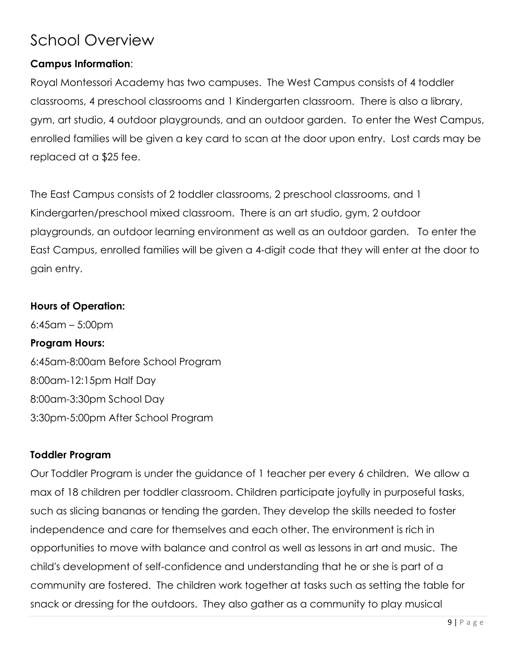### School Overview

#### **Campus Information**:

Royal Montessori Academy has two campuses. The West Campus consists of 4 toddler classrooms, 4 preschool classrooms and 1 Kindergarten classroom. There is also a library, gym, art studio, 4 outdoor playgrounds, and an outdoor garden. To enter the West Campus, enrolled families will be given a key card to scan at the door upon entry. Lost cards may be replaced at a \$25 fee.

The East Campus consists of 2 toddler classrooms, 2 preschool classrooms, and 1 Kindergarten/preschool mixed classroom. There is an art studio, gym, 2 outdoor playgrounds, an outdoor learning environment as well as an outdoor garden. To enter the East Campus, enrolled families will be given a 4-digit code that they will enter at the door to gain entry.

#### **Hours of Operation:**

6:45am – 5:00pm **Program Hours:** 6:45am-8:00am Before School Program 8:00am-12:15pm Half Day 8:00am-3:30pm School Day 3:30pm-5:00pm After School Program

#### **Toddler Program**

Our Toddler Program is under the guidance of 1 teacher per every 6 children. We allow a max of 18 children per toddler classroom. Children participate joyfully in purposeful tasks, such as slicing bananas or tending the garden. They develop the skills needed to foster independence and care for themselves and each other. The environment is rich in opportunities to move with balance and control as well as lessons in art and music. The child's development of self-confidence and understanding that he or she is part of a community are fostered. The children work together at tasks such as setting the table for snack or dressing for the outdoors. They also gather as a community to play musical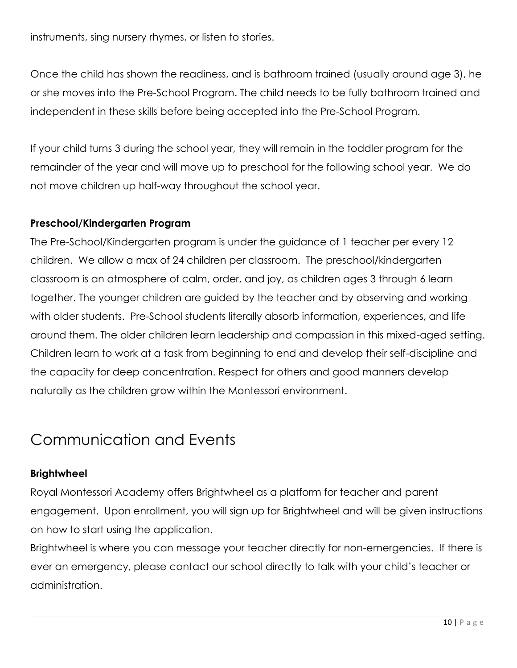instruments, sing nursery rhymes, or listen to stories.

Once the child has shown the readiness, and is bathroom trained (usually around age 3), he or she moves into the Pre-School Program. The child needs to be fully bathroom trained and independent in these skills before being accepted into the Pre-School Program.

If your child turns 3 during the school year, they will remain in the toddler program for the remainder of the year and will move up to preschool for the following school year. We do not move children up half-way throughout the school year.

#### **Preschool/Kindergarten Program**

The Pre-School/Kindergarten program is under the guidance of 1 teacher per every 12 children. We allow a max of 24 children per classroom. The preschool/kindergarten classroom is an atmosphere of calm, order, and joy, as children ages 3 through 6 learn together. The younger children are guided by the teacher and by observing and working with older students. Pre-School students literally absorb information, experiences, and life around them. The older children learn leadership and compassion in this mixed-aged setting. Children learn to work at a task from beginning to end and develop their self-discipline and the capacity for deep concentration. Respect for others and good manners develop naturally as the children grow within the Montessori environment.

### Communication and Events

#### **Brightwheel**

Royal Montessori Academy offers Brightwheel as a platform for teacher and parent engagement. Upon enrollment, you will sign up for Brightwheel and will be given instructions on how to start using the application.

Brightwheel is where you can message your teacher directly for non-emergencies. If there is ever an emergency, please contact our school directly to talk with your child's teacher or administration.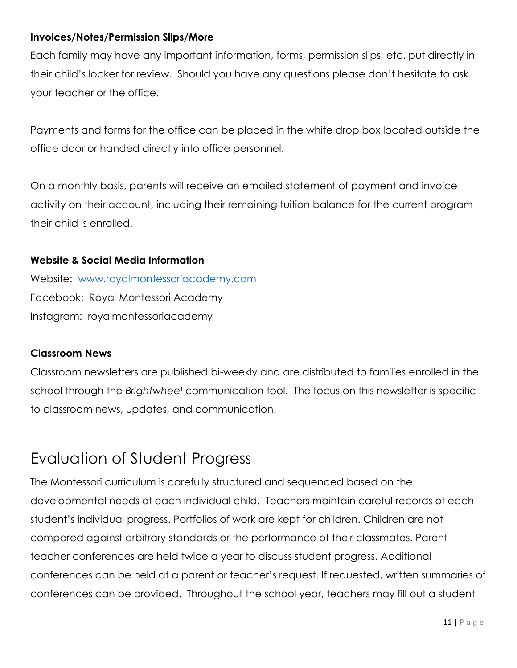#### **Invoices/Notes/Permission Slips/More**

Each family may have any important information, forms, permission slips, etc. put directly in their child's locker for review. Should you have any questions please don't hesitate to ask your teacher or the office.

Payments and forms for the office can be placed in the white drop box located outside the office door or handed directly into office personnel.

On a monthly basis, parents will receive an emailed statement of payment and invoice activity on their account, including their remaining tuition balance for the current program their child is enrolled.

#### **Website & Social Media Information**

Website: [www.royalmontessoriacademy.com](http://www.royalmontessoriacademy.com/) Facebook: Royal Montessori Academy Instagram: royalmontessoriacademy

#### **Classroom News**

Classroom newsletters are published bi-weekly and are distributed to families enrolled in the school through the *Brightwheel* communication tool. The focus on this newsletter is specific to classroom news, updates, and communication.

### Evaluation of Student Progress

The Montessori curriculum is carefully structured and sequenced based on the developmental needs of each individual child. Teachers maintain careful records of each student's individual progress. Portfolios of work are kept for children. Children are not compared against arbitrary standards or the performance of their classmates. Parent teacher conferences are held twice a year to discuss student progress. Additional conferences can be held at a parent or teacher's request. If requested, written summaries of conferences can be provided. Throughout the school year, teachers may fill out a student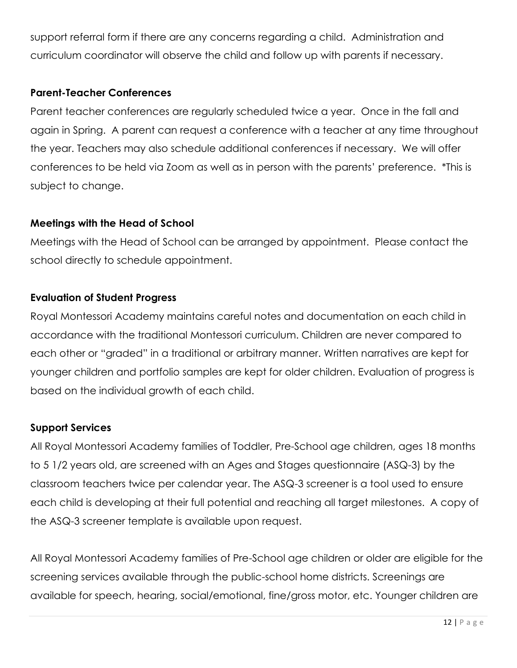support referral form if there are any concerns regarding a child. Administration and curriculum coordinator will observe the child and follow up with parents if necessary.

#### **Parent-Teacher Conferences**

Parent teacher conferences are regularly scheduled twice a year. Once in the fall and again in Spring. A parent can request a conference with a teacher at any time throughout the year. Teachers may also schedule additional conferences if necessary. We will offer conferences to be held via Zoom as well as in person with the parents' preference. \*This is subject to change.

#### **Meetings with the Head of School**

Meetings with the Head of School can be arranged by appointment. Please contact the school directly to schedule appointment.

#### **Evaluation of Student Progress**

Royal Montessori Academy maintains careful notes and documentation on each child in accordance with the traditional Montessori curriculum. Children are never compared to each other or "graded" in a traditional or arbitrary manner. Written narratives are kept for younger children and portfolio samples are kept for older children. Evaluation of progress is based on the individual growth of each child.

#### **Support Services**

All Royal Montessori Academy families of Toddler, Pre-School age children, ages 18 months to 5 1/2 years old, are screened with an Ages and Stages questionnaire (ASQ-3) by the classroom teachers twice per calendar year. The ASQ-3 screener is a tool used to ensure each child is developing at their full potential and reaching all target milestones. A copy of the ASQ-3 screener template is available upon request.

All Royal Montessori Academy families of Pre-School age children or older are eligible for the screening services available through the public-school home districts. Screenings are available for speech, hearing, social/emotional, fine/gross motor, etc. Younger children are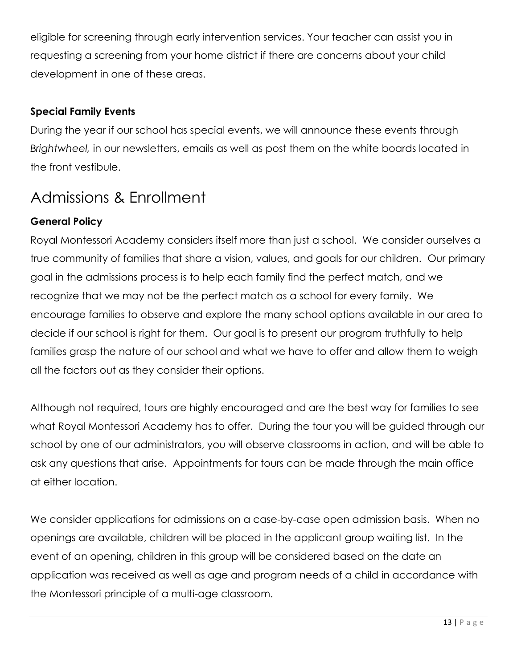eligible for screening through early intervention services. Your teacher can assist you in requesting a screening from your home district if there are concerns about your child development in one of these areas.

#### **Special Family Events**

During the year if our school has special events, we will announce these events through *Brightwheel,* in our newsletters, emails as well as post them on the white boards located in the front vestibule.

### Admissions & Enrollment

#### **General Policy**

Royal Montessori Academy considers itself more than just a school. We consider ourselves a true community of families that share a vision, values, and goals for our children. Our primary goal in the admissions process is to help each family find the perfect match, and we recognize that we may not be the perfect match as a school for every family. We encourage families to observe and explore the many school options available in our area to decide if our school is right for them. Our goal is to present our program truthfully to help families grasp the nature of our school and what we have to offer and allow them to weigh all the factors out as they consider their options.

Although not required, tours are highly encouraged and are the best way for families to see what Royal Montessori Academy has to offer. During the tour you will be guided through our school by one of our administrators, you will observe classrooms in action, and will be able to ask any questions that arise. Appointments for tours can be made through the main office at either location.

We consider applications for admissions on a case-by-case open admission basis. When no openings are available, children will be placed in the applicant group waiting list. In the event of an opening, children in this group will be considered based on the date an application was received as well as age and program needs of a child in accordance with the Montessori principle of a multi-age classroom.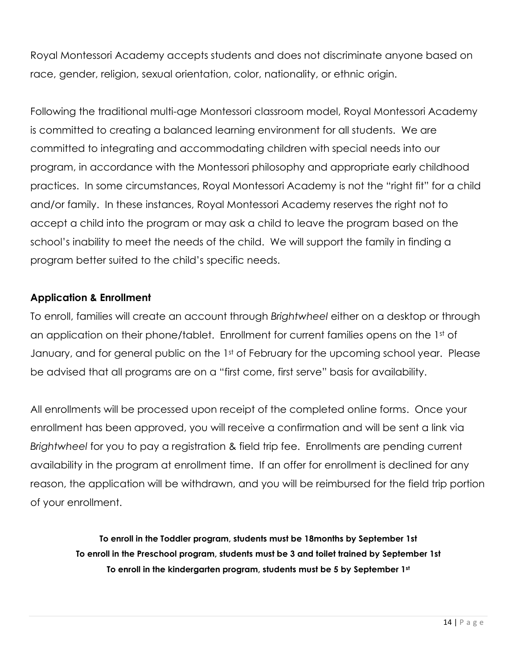Royal Montessori Academy accepts students and does not discriminate anyone based on race, gender, religion, sexual orientation, color, nationality, or ethnic origin.

Following the traditional multi-age Montessori classroom model, Royal Montessori Academy is committed to creating a balanced learning environment for all students. We are committed to integrating and accommodating children with special needs into our program, in accordance with the Montessori philosophy and appropriate early childhood practices. In some circumstances, Royal Montessori Academy is not the "right fit" for a child and/or family. In these instances, Royal Montessori Academy reserves the right not to accept a child into the program or may ask a child to leave the program based on the school's inability to meet the needs of the child. We will support the family in finding a program better suited to the child's specific needs.

#### **Application & Enrollment**

To enroll, families will create an account through *Brightwheel* either on a desktop or through an application on their phone/tablet. Enrollment for current families opens on the 1st of January, and for general public on the 1st of February for the upcoming school year. Please be advised that all programs are on a "first come, first serve" basis for availability.

All enrollments will be processed upon receipt of the completed online forms. Once your enrollment has been approved, you will receive a confirmation and will be sent a link via *Brightwheel* for you to pay a registration & field trip fee. Enrollments are pending current availability in the program at enrollment time. If an offer for enrollment is declined for any reason, the application will be withdrawn, and you will be reimbursed for the field trip portion of your enrollment.

> **To enroll in the Toddler program, students must be 18months by September 1st To enroll in the Preschool program, students must be 3 and toilet trained by September 1st To enroll in the kindergarten program, students must be 5 by September 1st**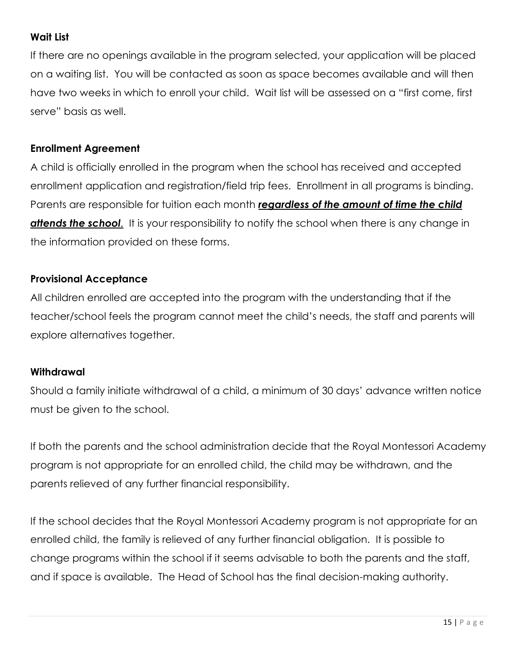#### **Wait List**

If there are no openings available in the program selected, your application will be placed on a waiting list. You will be contacted as soon as space becomes available and will then have two weeks in which to enroll your child. Wait list will be assessed on a "first come, first serve" basis as well.

#### **Enrollment Agreement**

A child is officially enrolled in the program when the school has received and accepted enrollment application and registration/field trip fees. Enrollment in all programs is binding. Parents are responsible for tuition each month *regardless of the amount of time the child*  **attends the school.** It is your responsibility to notify the school when there is any change in the information provided on these forms.

#### **Provisional Acceptance**

All children enrolled are accepted into the program with the understanding that if the teacher/school feels the program cannot meet the child's needs, the staff and parents will explore alternatives together.

#### **Withdrawal**

Should a family initiate withdrawal of a child, a minimum of 30 days' advance written notice must be given to the school.

If both the parents and the school administration decide that the Royal Montessori Academy program is not appropriate for an enrolled child, the child may be withdrawn, and the parents relieved of any further financial responsibility.

If the school decides that the Royal Montessori Academy program is not appropriate for an enrolled child, the family is relieved of any further financial obligation. It is possible to change programs within the school if it seems advisable to both the parents and the staff, and if space is available. The Head of School has the final decision-making authority.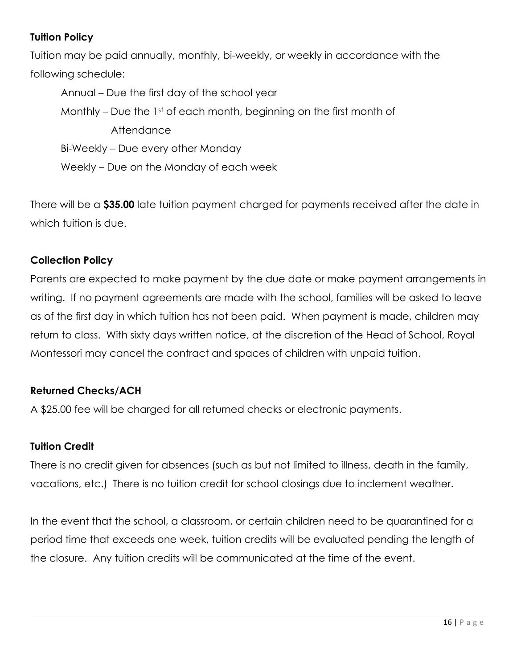#### **Tuition Policy**

Tuition may be paid annually, monthly, bi-weekly, or weekly in accordance with the following schedule:

Annual – Due the first day of the school year Monthly – Due the  $1<sup>st</sup>$  of each month, beginning on the first month of **Attendance** Bi-Weekly – Due every other Monday Weekly – Due on the Monday of each week

There will be a **\$35.00** late tuition payment charged for payments received after the date in which tuition is due.

#### **Collection Policy**

Parents are expected to make payment by the due date or make payment arrangements in writing. If no payment agreements are made with the school, families will be asked to leave as of the first day in which tuition has not been paid. When payment is made, children may return to class. With sixty days written notice, at the discretion of the Head of School, Royal Montessori may cancel the contract and spaces of children with unpaid tuition.

#### **Returned Checks/ACH**

A \$25.00 fee will be charged for all returned checks or electronic payments.

#### **Tuition Credit**

There is no credit given for absences (such as but not limited to illness, death in the family, vacations, etc.) There is no tuition credit for school closings due to inclement weather.

In the event that the school, a classroom, or certain children need to be quarantined for a period time that exceeds one week, tuition credits will be evaluated pending the length of the closure. Any tuition credits will be communicated at the time of the event.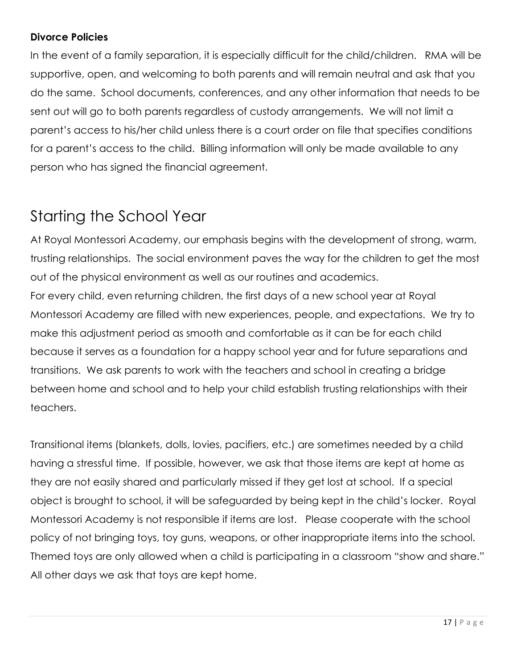#### **Divorce Policies**

In the event of a family separation, it is especially difficult for the child/children. RMA will be supportive, open, and welcoming to both parents and will remain neutral and ask that you do the same. School documents, conferences, and any other information that needs to be sent out will go to both parents regardless of custody arrangements. We will not limit a parent's access to his/her child unless there is a court order on file that specifies conditions for a parent's access to the child. Billing information will only be made available to any person who has signed the financial agreement.

## Starting the School Year

At Royal Montessori Academy, our emphasis begins with the development of strong, warm, trusting relationships. The social environment paves the way for the children to get the most out of the physical environment as well as our routines and academics. For every child, even returning children, the first days of a new school year at Royal Montessori Academy are filled with new experiences, people, and expectations. We try to make this adjustment period as smooth and comfortable as it can be for each child because it serves as a foundation for a happy school year and for future separations and transitions. We ask parents to work with the teachers and school in creating a bridge between home and school and to help your child establish trusting relationships with their teachers.

Transitional items (blankets, dolls, lovies, pacifiers, etc.) are sometimes needed by a child having a stressful time. If possible, however, we ask that those items are kept at home as they are not easily shared and particularly missed if they get lost at school. If a special object is brought to school, it will be safeguarded by being kept in the child's locker. Royal Montessori Academy is not responsible if items are lost. Please cooperate with the school policy of not bringing toys, toy guns, weapons, or other inappropriate items into the school. Themed toys are only allowed when a child is participating in a classroom "show and share." All other days we ask that toys are kept home.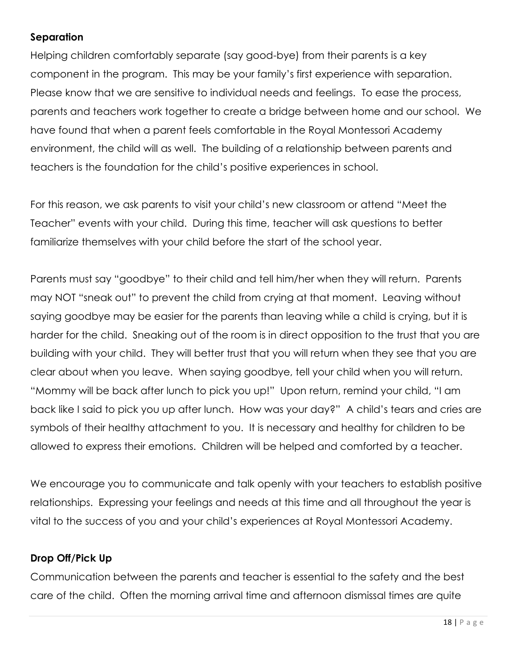#### **Separation**

Helping children comfortably separate (say good-bye) from their parents is a key component in the program. This may be your family's first experience with separation. Please know that we are sensitive to individual needs and feelings. To ease the process, parents and teachers work together to create a bridge between home and our school. We have found that when a parent feels comfortable in the Royal Montessori Academy environment, the child will as well. The building of a relationship between parents and teachers is the foundation for the child's positive experiences in school.

For this reason, we ask parents to visit your child's new classroom or attend "Meet the Teacher" events with your child. During this time, teacher will ask questions to better familiarize themselves with your child before the start of the school year.

Parents must say "goodbye" to their child and tell him/her when they will return. Parents may NOT "sneak out" to prevent the child from crying at that moment. Leaving without saying goodbye may be easier for the parents than leaving while a child is crying, but it is harder for the child. Sneaking out of the room is in direct opposition to the trust that you are building with your child. They will better trust that you will return when they see that you are clear about when you leave. When saying goodbye, tell your child when you will return. "Mommy will be back after lunch to pick you up!" Upon return, remind your child, "I am back like I said to pick you up after lunch. How was your day?" A child's tears and cries are symbols of their healthy attachment to you. It is necessary and healthy for children to be allowed to express their emotions. Children will be helped and comforted by a teacher.

We encourage you to communicate and talk openly with your teachers to establish positive relationships. Expressing your feelings and needs at this time and all throughout the year is vital to the success of you and your child's experiences at Royal Montessori Academy.

#### **Drop Off/Pick Up**

Communication between the parents and teacher is essential to the safety and the best care of the child. Often the morning arrival time and afternoon dismissal times are quite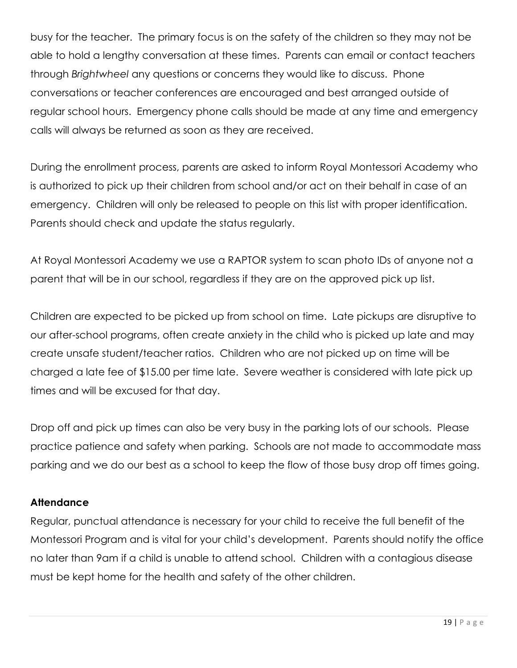busy for the teacher. The primary focus is on the safety of the children so they may not be able to hold a lengthy conversation at these times. Parents can email or contact teachers through *Brightwheel* any questions or concerns they would like to discuss. Phone conversations or teacher conferences are encouraged and best arranged outside of regular school hours. Emergency phone calls should be made at any time and emergency calls will always be returned as soon as they are received.

During the enrollment process, parents are asked to inform Royal Montessori Academy who is authorized to pick up their children from school and/or act on their behalf in case of an emergency. Children will only be released to people on this list with proper identification. Parents should check and update the status regularly.

At Royal Montessori Academy we use a RAPTOR system to scan photo IDs of anyone not a parent that will be in our school, regardless if they are on the approved pick up list.

Children are expected to be picked up from school on time. Late pickups are disruptive to our after-school programs, often create anxiety in the child who is picked up late and may create unsafe student/teacher ratios. Children who are not picked up on time will be charged a late fee of \$15.00 per time late. Severe weather is considered with late pick up times and will be excused for that day.

Drop off and pick up times can also be very busy in the parking lots of our schools. Please practice patience and safety when parking. Schools are not made to accommodate mass parking and we do our best as a school to keep the flow of those busy drop off times going.

#### **Attendance**

Regular, punctual attendance is necessary for your child to receive the full benefit of the Montessori Program and is vital for your child's development. Parents should notify the office no later than 9am if a child is unable to attend school. Children with a contagious disease must be kept home for the health and safety of the other children.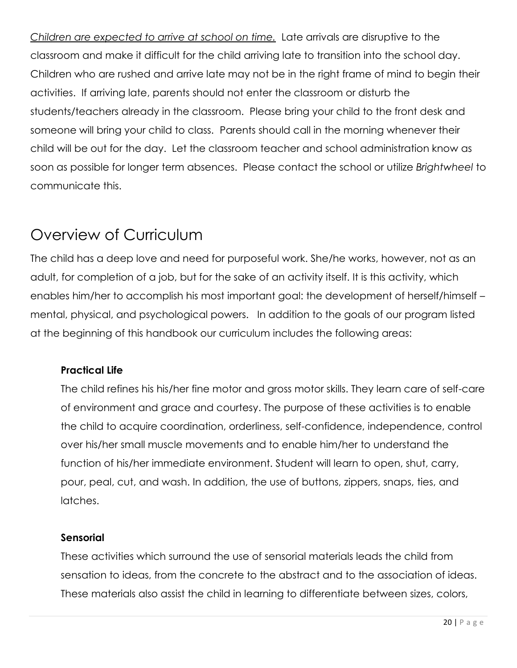*Children are expected to arrive at school on time.* Late arrivals are disruptive to the classroom and make it difficult for the child arriving late to transition into the school day. Children who are rushed and arrive late may not be in the right frame of mind to begin their activities. If arriving late, parents should not enter the classroom or disturb the students/teachers already in the classroom. Please bring your child to the front desk and someone will bring your child to class. Parents should call in the morning whenever their child will be out for the day. Let the classroom teacher and school administration know as soon as possible for longer term absences. Please contact the school or utilize *Brightwheel* to communicate this.

## Overview of Curriculum

The child has a deep love and need for purposeful work. She/he works, however, not as an adult, for completion of a job, but for the sake of an activity itself. It is this activity, which enables him/her to accomplish his most important goal: the development of herself/himself – mental, physical, and psychological powers. In addition to the goals of our program listed at the beginning of this handbook our curriculum includes the following areas:

#### **Practical Life**

The child refines his his/her fine motor and gross motor skills. They learn care of self-care of environment and grace and courtesy. The purpose of these activities is to enable the child to acquire coordination, orderliness, self-confidence, independence, control over his/her small muscle movements and to enable him/her to understand the function of his/her immediate environment. Student will learn to open, shut, carry, pour, peal, cut, and wash. In addition, the use of buttons, zippers, snaps, ties, and latches.

#### **Sensorial**

These activities which surround the use of sensorial materials leads the child from sensation to ideas, from the concrete to the abstract and to the association of ideas. These materials also assist the child in learning to differentiate between sizes, colors,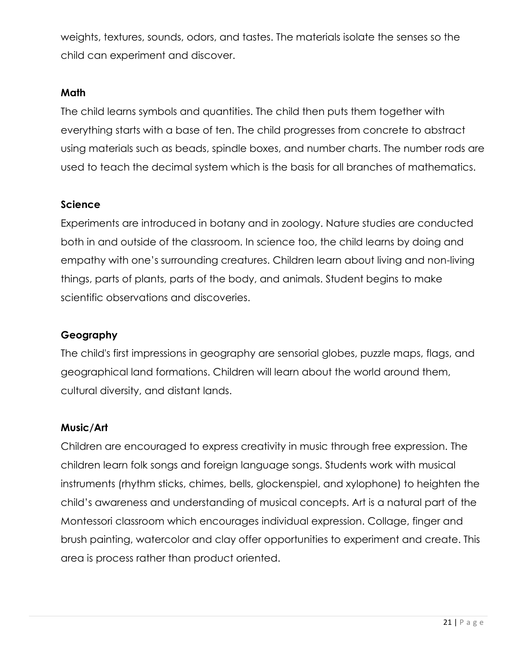weights, textures, sounds, odors, and tastes. The materials isolate the senses so the child can experiment and discover.

#### **Math**

The child learns symbols and quantities. The child then puts them together with everything starts with a base of ten. The child progresses from concrete to abstract using materials such as beads, spindle boxes, and number charts. The number rods are used to teach the decimal system which is the basis for all branches of mathematics.

#### **Science**

Experiments are introduced in botany and in zoology. Nature studies are conducted both in and outside of the classroom. In science too, the child learns by doing and empathy with one's surrounding creatures. Children learn about living and non-living things, parts of plants, parts of the body, and animals. Student begins to make scientific observations and discoveries.

#### **Geography**

The child's first impressions in geography are sensorial globes, puzzle maps, flags, and geographical land formations. Children will learn about the world around them, cultural diversity, and distant lands.

#### **Music/Art**

Children are encouraged to express creativity in music through free expression. The children learn folk songs and foreign language songs. Students work with musical instruments (rhythm sticks, chimes, bells, glockenspiel, and xylophone) to heighten the child's awareness and understanding of musical concepts. Art is a natural part of the Montessori classroom which encourages individual expression. Collage, finger and brush painting, watercolor and clay offer opportunities to experiment and create. This area is process rather than product oriented.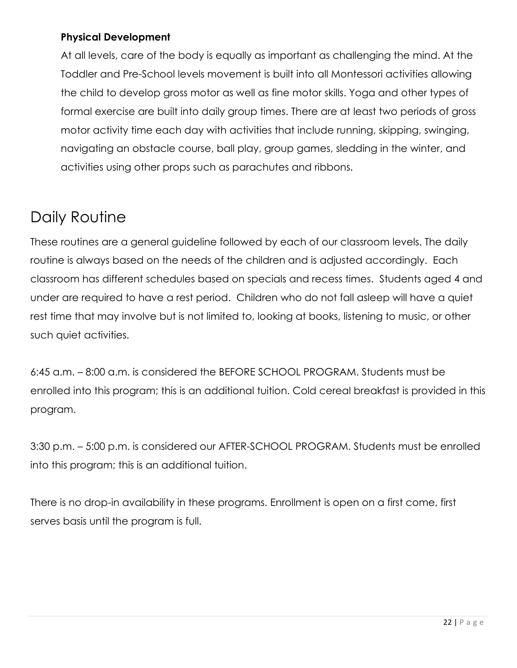#### **Physical Development**

At all levels, care of the body is equally as important as challenging the mind. At the Toddler and Pre-School levels movement is built into all Montessori activities allowing the child to develop gross motor as well as fine motor skills. Yoga and other types of formal exercise are built into daily group times. There are at least two periods of gross motor activity time each day with activities that include running, skipping, swinging, navigating an obstacle course, ball play, group games, sledding in the winter, and activities using other props such as parachutes and ribbons.

## Daily Routine

These routines are a general guideline followed by each of our classroom levels. The daily routine is always based on the needs of the children and is adjusted accordingly. Each classroom has different schedules based on specials and recess times. Students aged 4 and under are required to have a rest period. Children who do not fall asleep will have a quiet rest time that may involve but is not limited to, looking at books, listening to music, or other such quiet activities.

6:45 a.m. – 8:00 a.m. is considered the BEFORE SCHOOL PROGRAM. Students must be enrolled into this program; this is an additional tuition. Cold cereal breakfast is provided in this program.

3:30 p.m. – 5:00 p.m. is considered our AFTER-SCHOOL PROGRAM. Students must be enrolled into this program; this is an additional tuition.

There is no drop-in availability in these programs. Enrollment is open on a first come, first serves basis until the program is full.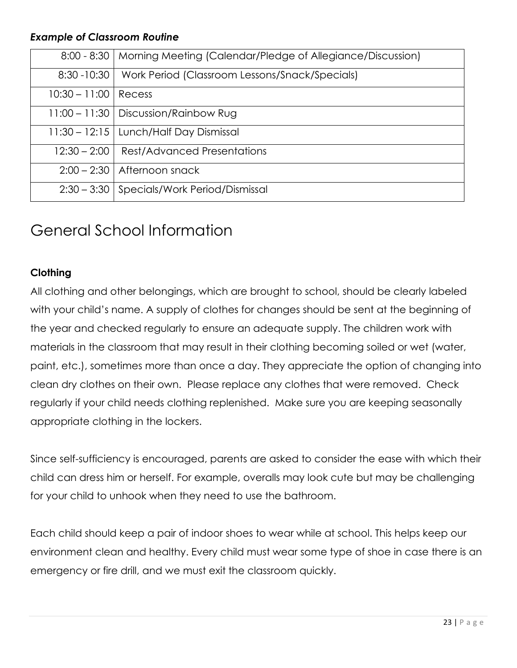#### *Example of Classroom Routine*

|                 | 8:00 - 8:30   Morning Meeting (Calendar/Pledge of Allegiance/Discussion) |
|-----------------|--------------------------------------------------------------------------|
| $8:30 - 10:30$  | Work Period (Classroom Lessons/Snack/Specials)                           |
| $10:30 - 11:00$ | Recess                                                                   |
|                 | 11:00 - 11:30   Discussion/Rainbow Rug                                   |
| $11:30 - 12:15$ | Lunch/Half Day Dismissal                                                 |
| $12:30 - 2:00$  | <b>Rest/Advanced Presentations</b>                                       |
|                 | $2:00 - 2:30$   Afternoon snack                                          |
|                 | 2:30 - 3:30   Specials/Work Period/Dismissal                             |

### General School Information

#### **Clothing**

All clothing and other belongings, which are brought to school, should be clearly labeled with your child's name. A supply of clothes for changes should be sent at the beginning of the year and checked regularly to ensure an adequate supply. The children work with materials in the classroom that may result in their clothing becoming soiled or wet (water, paint, etc.), sometimes more than once a day. They appreciate the option of changing into clean dry clothes on their own. Please replace any clothes that were removed. Check regularly if your child needs clothing replenished. Make sure you are keeping seasonally appropriate clothing in the lockers.

Since self-sufficiency is encouraged, parents are asked to consider the ease with which their child can dress him or herself. For example, overalls may look cute but may be challenging for your child to unhook when they need to use the bathroom.

Each child should keep a pair of indoor shoes to wear while at school. This helps keep our environment clean and healthy. Every child must wear some type of shoe in case there is an emergency or fire drill, and we must exit the classroom quickly.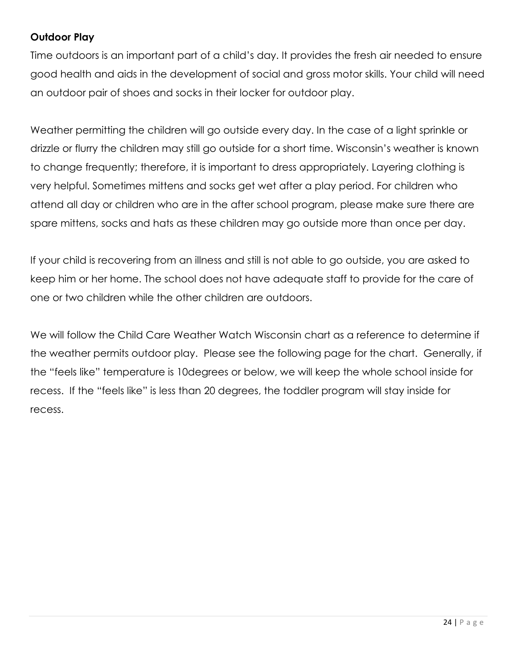#### **Outdoor Play**

Time outdoors is an important part of a child's day. It provides the fresh air needed to ensure good health and aids in the development of social and gross motor skills. Your child will need an outdoor pair of shoes and socks in their locker for outdoor play.

Weather permitting the children will go outside every day. In the case of a light sprinkle or drizzle or flurry the children may still go outside for a short time. Wisconsin's weather is known to change frequently; therefore, it is important to dress appropriately. Layering clothing is very helpful. Sometimes mittens and socks get wet after a play period. For children who attend all day or children who are in the after school program, please make sure there are spare mittens, socks and hats as these children may go outside more than once per day.

If your child is recovering from an illness and still is not able to go outside, you are asked to keep him or her home. The school does not have adequate staff to provide for the care of one or two children while the other children are outdoors.

We will follow the Child Care Weather Watch Wisconsin chart as a reference to determine if the weather permits outdoor play. Please see the following page for the chart. Generally, if the "feels like" temperature is 10degrees or below, we will keep the whole school inside for recess. If the "feels like" is less than 20 degrees, the toddler program will stay inside for recess.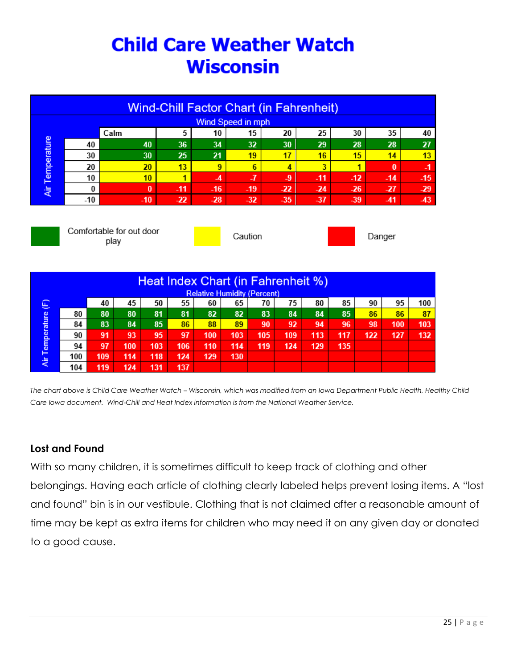# **Child Care Weather Watch Wisconsin**

| <b>Wind-Chill Factor Chart (in Fahrenheit)</b> |       |       |       |                          |                |       |       |       |          |              |
|------------------------------------------------|-------|-------|-------|--------------------------|----------------|-------|-------|-------|----------|--------------|
| <b>Wind Speed in mph</b>                       |       |       |       |                          |                |       |       |       |          |              |
|                                                |       | Calm  | 5     | 10                       | 15             | 20    | 25    | 30    | 35       | 40           |
| Air Temperature                                | 40    | 40    | 36    | 34                       | 32             | 30    | 29    | 28    | 28       | 27           |
|                                                | 30    | 30    | 25    | 21                       | 19             |       | 16    | 15    | 14       | 13           |
|                                                | 20    | 20    | 13    | 9                        | 6              |       | 3     | и     | $\bf{0}$ | $\mathbf{L}$ |
|                                                | 10    | 10    | 1     | $\overline{\mathcal{A}}$ | $\overline{d}$ | -9    | $-11$ | $-12$ | $-14$    | $-15$        |
|                                                |       | Ю     | $-11$ | $-16$                    | $-19$          | $-22$ | $-24$ | $-26$ | -27      | $-29$        |
|                                                | $-10$ | $-10$ | $-22$ | $-28$                    | $-32$          | $-35$ | $-37$ | $-39$ | $-41$    | $-43$        |

Comfortable for out door Caution Danger play

| Heat Index Chart (in Fahrenheit %) |                                    |     |     |     |     |     |     |     |     |     |     |     |     |       |
|------------------------------------|------------------------------------|-----|-----|-----|-----|-----|-----|-----|-----|-----|-----|-----|-----|-------|
|                                    | <b>Relative Humidity (Percent)</b> |     |     |     |     |     |     |     |     |     |     |     |     |       |
| $\widehat{\mathbb{E}}$             |                                    | 40  | 45  | 50  | 55  | 60  | 65  | 70  | 75  | 80  | 85  | 90  | 95  | 100   |
|                                    | 80                                 | 80  | 80  | 81  | 81  | 82  | 82  | 83  | 84  | 84  | 85  | 86  | 86  | 87    |
|                                    | 84                                 | 83  | 84  | 85  | 86  | 88  | 89  | 90  | 92  | 94  | 96  | 98  | 100 | 103   |
| Air Temperature                    | 90                                 | 91  | 93  | 95  | 97  | 100 | 103 | 105 | 109 | 113 | 117 | 122 | 127 | $132$ |
|                                    | 94                                 | 97  | 100 | 103 | 106 | 110 | 114 | 119 | 124 | 129 | 135 |     |     |       |
|                                    | 100                                | 109 | 114 | 118 | 124 | 129 | 130 |     |     |     |     |     |     |       |
|                                    | 104                                | 119 | 124 | 131 | 137 |     |     |     |     |     |     |     |     |       |

*The chart above is Child Care Weather Watch – Wisconsin, which was modified from an Iowa Department Public Health, Healthy Child Care Iowa document. Wind-Chill and Heat Index information is from the National Weather Service.*

#### **Lost and Found**

With so many children, it is sometimes difficult to keep track of clothing and other belongings. Having each article of clothing clearly labeled helps prevent losing items. A "lost and found" bin is in our vestibule. Clothing that is not claimed after a reasonable amount of time may be kept as extra items for children who may need it on any given day or donated to a good cause.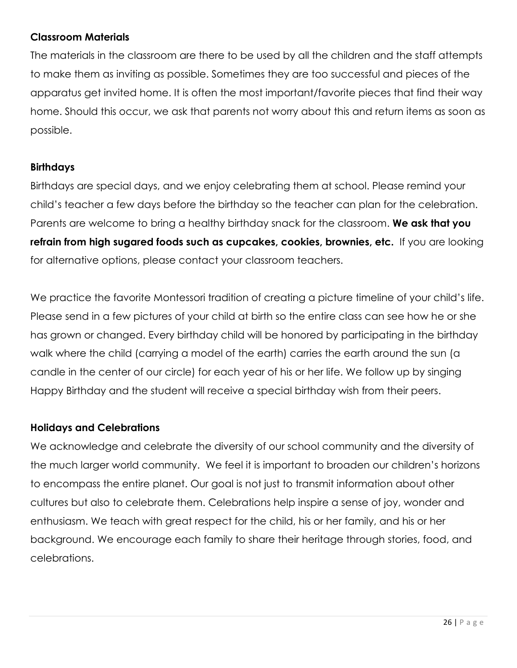#### **Classroom Materials**

The materials in the classroom are there to be used by all the children and the staff attempts to make them as inviting as possible. Sometimes they are too successful and pieces of the apparatus get invited home. It is often the most important/favorite pieces that find their way home. Should this occur, we ask that parents not worry about this and return items as soon as possible.

#### **Birthdays**

Birthdays are special days, and we enjoy celebrating them at school. Please remind your child's teacher a few days before the birthday so the teacher can plan for the celebration. Parents are welcome to bring a healthy birthday snack for the classroom. **We ask that you refrain from high sugared foods such as cupcakes, cookies, brownies, etc.** If you are looking for alternative options, please contact your classroom teachers.

We practice the favorite Montessori tradition of creating a picture timeline of your child's life. Please send in a few pictures of your child at birth so the entire class can see how he or she has grown or changed. Every birthday child will be honored by participating in the birthday walk where the child (carrying a model of the earth) carries the earth around the sun (a candle in the center of our circle) for each year of his or her life. We follow up by singing Happy Birthday and the student will receive a special birthday wish from their peers.

#### **Holidays and Celebrations**

We acknowledge and celebrate the diversity of our school community and the diversity of the much larger world community. We feel it is important to broaden our children's horizons to encompass the entire planet. Our goal is not just to transmit information about other cultures but also to celebrate them. Celebrations help inspire a sense of joy, wonder and enthusiasm. We teach with great respect for the child, his or her family, and his or her background. We encourage each family to share their heritage through stories, food, and celebrations.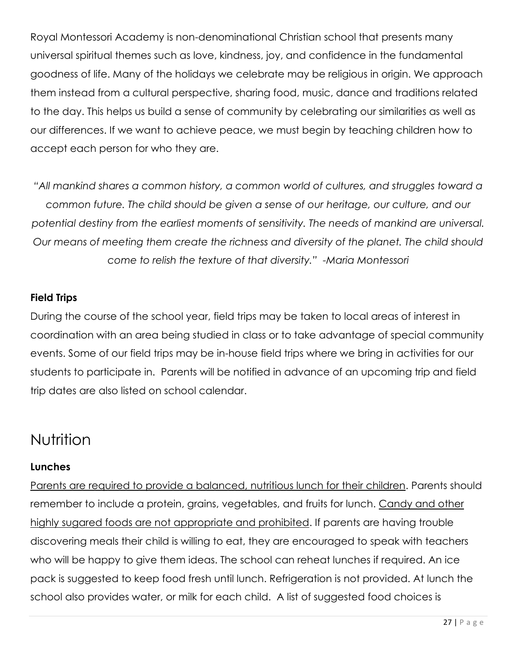Royal Montessori Academy is non-denominational Christian school that presents many universal spiritual themes such as love, kindness, joy, and confidence in the fundamental goodness of life. Many of the holidays we celebrate may be religious in origin. We approach them instead from a cultural perspective, sharing food, music, dance and traditions related to the day. This helps us build a sense of community by celebrating our similarities as well as our differences. If we want to achieve peace, we must begin by teaching children how to accept each person for who they are.

*"All mankind shares a common history, a common world of cultures, and struggles toward a common future. The child should be given a sense of our heritage, our culture, and our potential destiny from the earliest moments of sensitivity. The needs of mankind are universal. Our means of meeting them create the richness and diversity of the planet. The child should come to relish the texture of that diversity." -Maria Montessori*

#### **Field Trips**

During the course of the school year, field trips may be taken to local areas of interest in coordination with an area being studied in class or to take advantage of special community events. Some of our field trips may be in-house field trips where we bring in activities for our students to participate in. Parents will be notified in advance of an upcoming trip and field trip dates are also listed on school calendar.

### Nutrition

#### **Lunches**

Parents are required to provide a balanced, nutritious lunch for their children. Parents should remember to include a protein, grains, vegetables, and fruits for lunch. Candy and other highly sugared foods are not appropriate and prohibited. If parents are having trouble discovering meals their child is willing to eat, they are encouraged to speak with teachers who will be happy to give them ideas. The school can reheat lunches if required. An ice pack is suggested to keep food fresh until lunch. Refrigeration is not provided. At lunch the school also provides water, or milk for each child. A list of suggested food choices is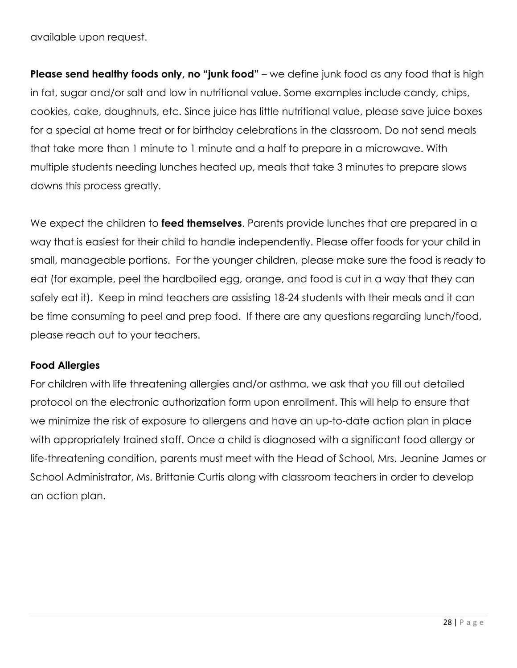available upon request.

**Please send healthy foods only, no "junk food"** – we define junk food as any food that is high in fat, sugar and/or salt and low in nutritional value. Some examples include candy, chips, cookies, cake, doughnuts, etc. Since juice has little nutritional value, please save juice boxes for a special at home treat or for birthday celebrations in the classroom. Do not send meals that take more than 1 minute to 1 minute and a half to prepare in a microwave. With multiple students needing lunches heated up, meals that take 3 minutes to prepare slows downs this process greatly.

We expect the children to **feed themselves**. Parents provide lunches that are prepared in a way that is easiest for their child to handle independently. Please offer foods for your child in small, manageable portions. For the younger children, please make sure the food is ready to eat (for example, peel the hardboiled egg, orange, and food is cut in a way that they can safely eat it). Keep in mind teachers are assisting 18-24 students with their meals and it can be time consuming to peel and prep food. If there are any questions regarding lunch/food, please reach out to your teachers.

#### **Food Allergies**

For children with life threatening allergies and/or asthma, we ask that you fill out detailed protocol on the electronic authorization form upon enrollment. This will help to ensure that we minimize the risk of exposure to allergens and have an up-to-date action plan in place with appropriately trained staff. Once a child is diagnosed with a significant food allergy or life-threatening condition, parents must meet with the Head of School, Mrs. Jeanine James or School Administrator, Ms. Brittanie Curtis along with classroom teachers in order to develop an action plan.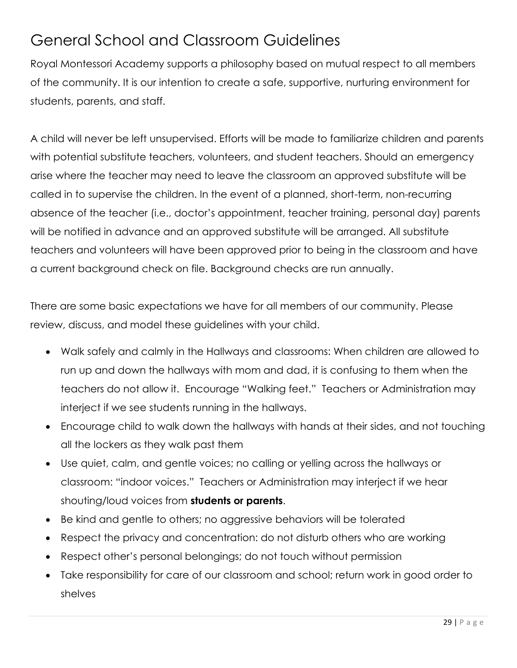# General School and Classroom Guidelines

Royal Montessori Academy supports a philosophy based on mutual respect to all members of the community. It is our intention to create a safe, supportive, nurturing environment for students, parents, and staff.

A child will never be left unsupervised. Efforts will be made to familiarize children and parents with potential substitute teachers, volunteers, and student teachers. Should an emergency arise where the teacher may need to leave the classroom an approved substitute will be called in to supervise the children. In the event of a planned, short-term, non-recurring absence of the teacher (i.e., doctor's appointment, teacher training, personal day) parents will be notified in advance and an approved substitute will be arranged. All substitute teachers and volunteers will have been approved prior to being in the classroom and have a current background check on file. Background checks are run annually.

There are some basic expectations we have for all members of our community. Please review, discuss, and model these guidelines with your child.

- Walk safely and calmly in the Hallways and classrooms: When children are allowed to run up and down the hallways with mom and dad, it is confusing to them when the teachers do not allow it. Encourage "Walking feet." Teachers or Administration may interject if we see students running in the hallways.
- Encourage child to walk down the hallways with hands at their sides, and not touching all the lockers as they walk past them
- Use quiet, calm, and gentle voices; no calling or yelling across the hallways or classroom: "indoor voices." Teachers or Administration may interject if we hear shouting/loud voices from **students or parents**.
- Be kind and gentle to others; no aggressive behaviors will be tolerated
- Respect the privacy and concentration: do not disturb others who are working
- Respect other's personal belongings; do not touch without permission
- Take responsibility for care of our classroom and school; return work in good order to shelves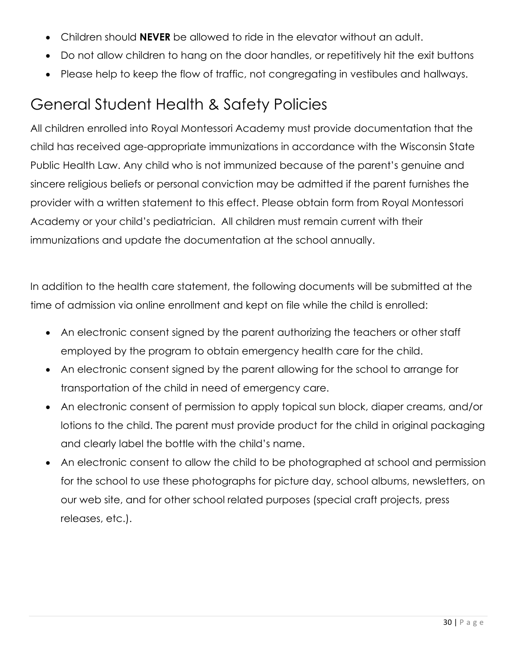- Children should **NEVER** be allowed to ride in the elevator without an adult.
- Do not allow children to hang on the door handles, or repetitively hit the exit buttons
- Please help to keep the flow of traffic, not congregating in vestibules and hallways.

## General Student Health & Safety Policies

All children enrolled into Royal Montessori Academy must provide documentation that the child has received age-appropriate immunizations in accordance with the Wisconsin State Public Health Law. Any child who is not immunized because of the parent's genuine and sincere religious beliefs or personal conviction may be admitted if the parent furnishes the provider with a written statement to this effect. Please obtain form from Royal Montessori Academy or your child's pediatrician. All children must remain current with their immunizations and update the documentation at the school annually.

In addition to the health care statement, the following documents will be submitted at the time of admission via online enrollment and kept on file while the child is enrolled:

- An electronic consent signed by the parent authorizing the teachers or other staff employed by the program to obtain emergency health care for the child.
- An electronic consent signed by the parent allowing for the school to arrange for transportation of the child in need of emergency care.
- An electronic consent of permission to apply topical sun block, diaper creams, and/or lotions to the child. The parent must provide product for the child in original packaging and clearly label the bottle with the child's name.
- An electronic consent to allow the child to be photographed at school and permission for the school to use these photographs for picture day, school albums, newsletters, on our web site, and for other school related purposes (special craft projects, press releases, etc.).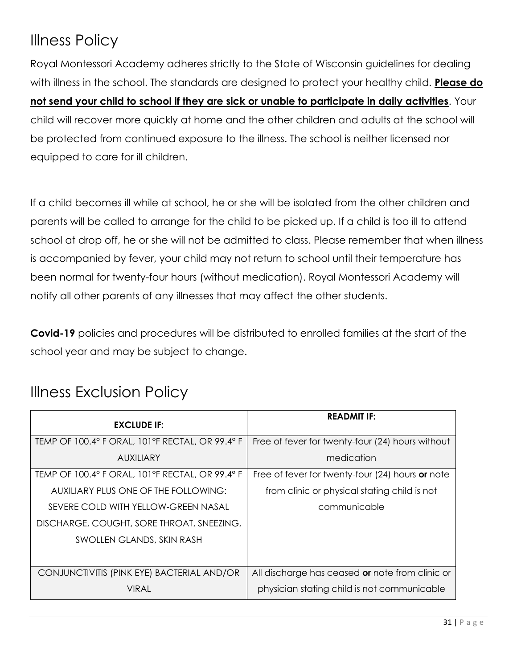# Illness Policy

Royal Montessori Academy adheres strictly to the State of Wisconsin guidelines for dealing with illness in the school. The standards are designed to protect your healthy child. **Please do not send your child to school if they are sick or unable to participate in daily activities**. Your child will recover more quickly at home and the other children and adults at the school will be protected from continued exposure to the illness. The school is neither licensed nor equipped to care for ill children.

If a child becomes ill while at school, he or she will be isolated from the other children and parents will be called to arrange for the child to be picked up. If a child is too ill to attend school at drop off, he or she will not be admitted to class. Please remember that when illness is accompanied by fever, your child may not return to school until their temperature has been normal for twenty-four hours (without medication). Royal Montessori Academy will notify all other parents of any illnesses that may affect the other students.

**Covid-19** policies and procedures will be distributed to enrolled families at the start of the school year and may be subject to change.

| <b>EXCLUDE IF:</b>                              | <b>READMIT IF:</b>                               |
|-------------------------------------------------|--------------------------------------------------|
| TEMP OF 100.4° F ORAL, 101°F RECTAL, OR 99.4° F | Free of fever for twenty-four (24) hours without |
| <b>AUXILIARY</b>                                | medication                                       |
| TEMP OF 100.4° F ORAL, 101°F RECTAL, OR 99.4° F | Free of fever for twenty-four (24) hours or note |
| AUXILIARY PLUS ONE OF THE FOLLOWING:            | from clinic or physical stating child is not     |
| SEVERE COLD WITH YELLOW-GREEN NASAL             | communicable                                     |
| DISCHARGE, COUGHT, SORE THROAT, SNEEZING,       |                                                  |
| SWOLLEN GLANDS, SKIN RASH                       |                                                  |
|                                                 |                                                  |
| CONJUNCTIVITIS (PINK EYE) BACTERIAL AND/OR      | All discharge has ceased or note from clinic or  |
| <b>VIRAI</b>                                    | physician stating child is not communicable      |

# Illness Exclusion Policy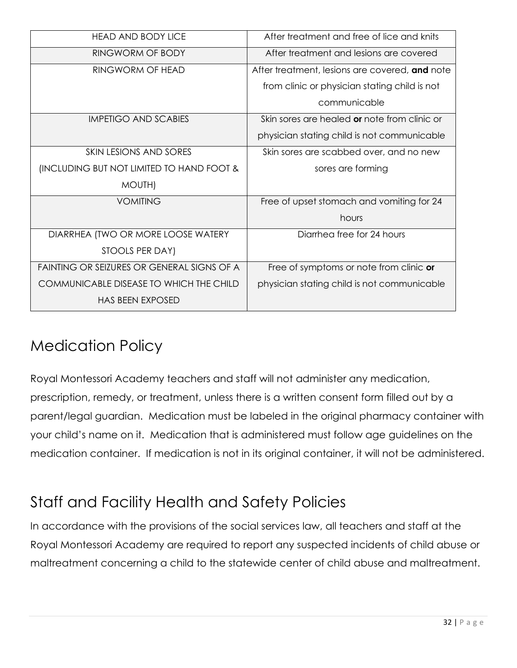| <b>HEAD AND BODY LICE</b>                  | After treatment and free of lice and knits          |
|--------------------------------------------|-----------------------------------------------------|
| RINGWORM OF BODY                           | After treatment and lesions are covered             |
| RINGWORM OF HEAD                           | After treatment, lesions are covered, and note      |
|                                            | from clinic or physician stating child is not       |
|                                            | communicable                                        |
| <b>IMPETIGO AND SCABIES</b>                | Skin sores are healed <b>or</b> note from clinic or |
|                                            | physician stating child is not communicable         |
| <b>SKIN LESIONS AND SORES</b>              | Skin sores are scabbed over, and no new             |
| (INCLUDING BUT NOT LIMITED TO HAND FOOT &  | sores are forming                                   |
| <b>MOUTH)</b>                              |                                                     |
| <b>VOMITING</b>                            | Free of upset stomach and vomiting for 24           |
|                                            | hours                                               |
| DIARRHEA (TWO OR MORE LOOSE WATERY         | Diarrhea free for 24 hours                          |
| STOOLS PER DAY)                            |                                                     |
| FAINTING OR SEIZURES OR GENERAL SIGNS OF A | Free of symptoms or note from clinic or             |
| COMMUNICABLE DISEASE TO WHICH THE CHILD    | physician stating child is not communicable         |
| <b>HAS BEEN EXPOSED</b>                    |                                                     |

# Medication Policy

Royal Montessori Academy teachers and staff will not administer any medication, prescription, remedy, or treatment, unless there is a written consent form filled out by a parent/legal guardian. Medication must be labeled in the original pharmacy container with your child's name on it. Medication that is administered must follow age guidelines on the medication container. If medication is not in its original container, it will not be administered.

# Staff and Facility Health and Safety Policies

In accordance with the provisions of the social services law, all teachers and staff at the Royal Montessori Academy are required to report any suspected incidents of child abuse or maltreatment concerning a child to the statewide center of child abuse and maltreatment.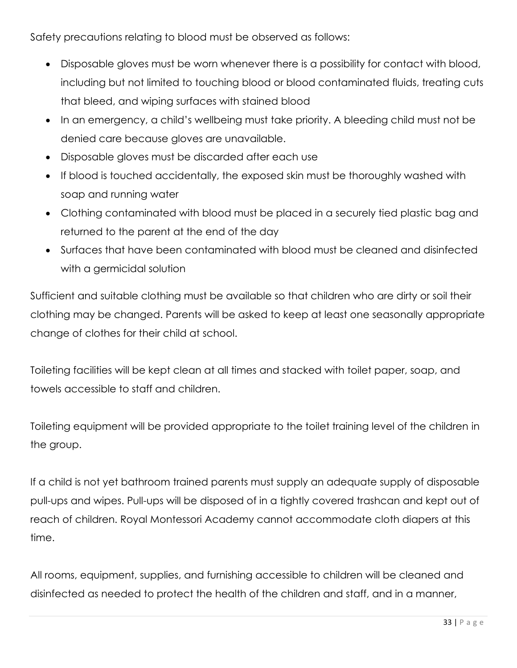Safety precautions relating to blood must be observed as follows:

- Disposable gloves must be worn whenever there is a possibility for contact with blood, including but not limited to touching blood or blood contaminated fluids, treating cuts that bleed, and wiping surfaces with stained blood
- In an emergency, a child's wellbeing must take priority. A bleeding child must not be denied care because gloves are unavailable.
- Disposable gloves must be discarded after each use
- If blood is touched accidentally, the exposed skin must be thoroughly washed with soap and running water
- Clothing contaminated with blood must be placed in a securely tied plastic bag and returned to the parent at the end of the day
- Surfaces that have been contaminated with blood must be cleaned and disinfected with a germicidal solution

Sufficient and suitable clothing must be available so that children who are dirty or soil their clothing may be changed. Parents will be asked to keep at least one seasonally appropriate change of clothes for their child at school.

Toileting facilities will be kept clean at all times and stacked with toilet paper, soap, and towels accessible to staff and children.

Toileting equipment will be provided appropriate to the toilet training level of the children in the group.

If a child is not yet bathroom trained parents must supply an adequate supply of disposable pull-ups and wipes. Pull-ups will be disposed of in a tightly covered trashcan and kept out of reach of children. Royal Montessori Academy cannot accommodate cloth diapers at this time.

All rooms, equipment, supplies, and furnishing accessible to children will be cleaned and disinfected as needed to protect the health of the children and staff, and in a manner,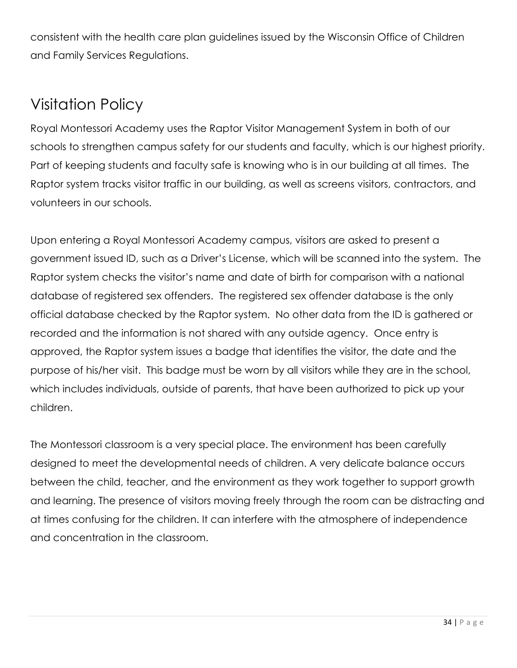consistent with the health care plan guidelines issued by the Wisconsin Office of Children and Family Services Regulations.

# Visitation Policy

Royal Montessori Academy uses the Raptor Visitor Management System in both of our schools to strengthen campus safety for our students and faculty, which is our highest priority. Part of keeping students and faculty safe is knowing who is in our building at all times. The Raptor system tracks visitor traffic in our building, as well as screens visitors, contractors, and volunteers in our schools.

Upon entering a Royal Montessori Academy campus, visitors are asked to present a government issued ID, such as a Driver's License, which will be scanned into the system. The Raptor system checks the visitor's name and date of birth for comparison with a national database of registered sex offenders. The registered sex offender database is the only official database checked by the Raptor system. No other data from the ID is gathered or recorded and the information is not shared with any outside agency. Once entry is approved, the Raptor system issues a badge that identifies the visitor, the date and the purpose of his/her visit. This badge must be worn by all visitors while they are in the school, which includes individuals, outside of parents, that have been authorized to pick up your children.

The Montessori classroom is a very special place. The environment has been carefully designed to meet the developmental needs of children. A very delicate balance occurs between the child, teacher, and the environment as they work together to support growth and learning. The presence of visitors moving freely through the room can be distracting and at times confusing for the children. It can interfere with the atmosphere of independence and concentration in the classroom.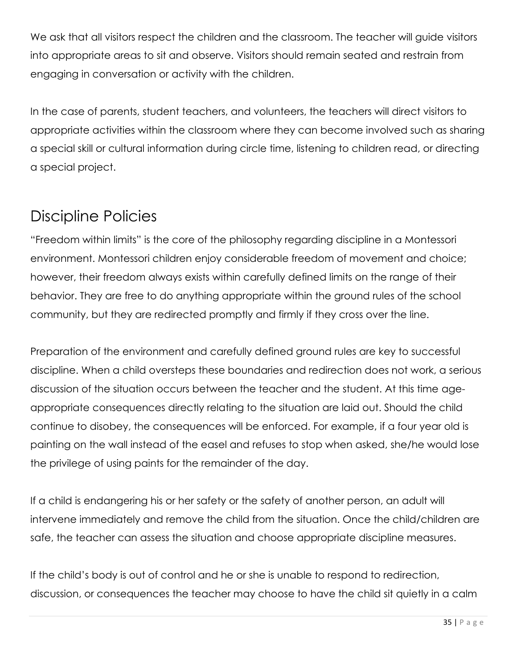We ask that all visitors respect the children and the classroom. The teacher will guide visitors into appropriate areas to sit and observe. Visitors should remain seated and restrain from engaging in conversation or activity with the children.

In the case of parents, student teachers, and volunteers, the teachers will direct visitors to appropriate activities within the classroom where they can become involved such as sharing a special skill or cultural information during circle time, listening to children read, or directing a special project.

# Discipline Policies

"Freedom within limits" is the core of the philosophy regarding discipline in a Montessori environment. Montessori children enjoy considerable freedom of movement and choice; however, their freedom always exists within carefully defined limits on the range of their behavior. They are free to do anything appropriate within the ground rules of the school community, but they are redirected promptly and firmly if they cross over the line.

Preparation of the environment and carefully defined ground rules are key to successful discipline. When a child oversteps these boundaries and redirection does not work, a serious discussion of the situation occurs between the teacher and the student. At this time ageappropriate consequences directly relating to the situation are laid out. Should the child continue to disobey, the consequences will be enforced. For example, if a four year old is painting on the wall instead of the easel and refuses to stop when asked, she/he would lose the privilege of using paints for the remainder of the day.

If a child is endangering his or her safety or the safety of another person, an adult will intervene immediately and remove the child from the situation. Once the child/children are safe, the teacher can assess the situation and choose appropriate discipline measures.

If the child's body is out of control and he or she is unable to respond to redirection, discussion, or consequences the teacher may choose to have the child sit quietly in a calm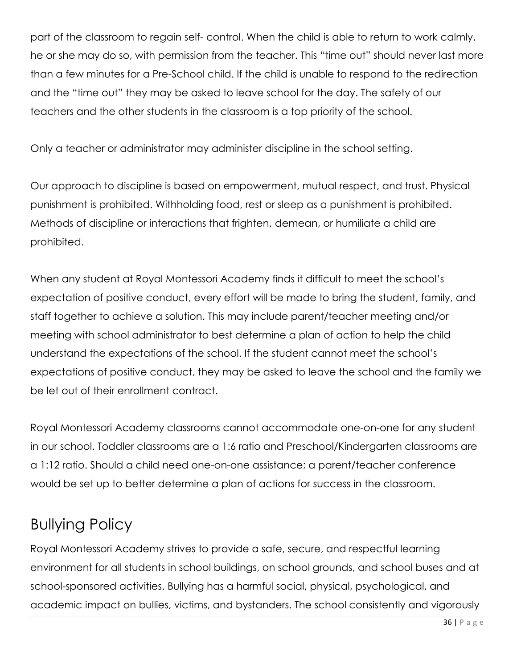part of the classroom to regain self- control. When the child is able to return to work calmly, he or she may do so, with permission from the teacher. This "time out" should never last more than a few minutes for a Pre-School child. If the child is unable to respond to the redirection and the "time out" they may be asked to leave school for the day. The safety of our teachers and the other students in the classroom is a top priority of the school.

Only a teacher or administrator may administer discipline in the school setting.

Our approach to discipline is based on empowerment, mutual respect, and trust. Physical punishment is prohibited. Withholding food, rest or sleep as a punishment is prohibited. Methods of discipline or interactions that frighten, demean, or humiliate a child are prohibited.

When any student at Royal Montessori Academy finds it difficult to meet the school's expectation of positive conduct, every effort will be made to bring the student, family, and staff together to achieve a solution. This may include parent/teacher meeting and/or meeting with school administrator to best determine a plan of action to help the child understand the expectations of the school. If the student cannot meet the school's expectations of positive conduct, they may be asked to leave the school and the family we be let out of their enrollment contract.

Royal Montessori Academy classrooms cannot accommodate one-on-one for any student in our school. Toddler classrooms are a 1:6 ratio and Preschool/Kindergarten classrooms are a 1:12 ratio. Should a child need one-on-one assistance; a parent/teacher conference would be set up to better determine a plan of actions for success in the classroom.

# Bullying Policy

Royal Montessori Academy strives to provide a safe, secure, and respectful learning environment for all students in school buildings, on school grounds, and school buses and at school-sponsored activities. Bullying has a harmful social, physical, psychological, and academic impact on bullies, victims, and bystanders. The school consistently and vigorously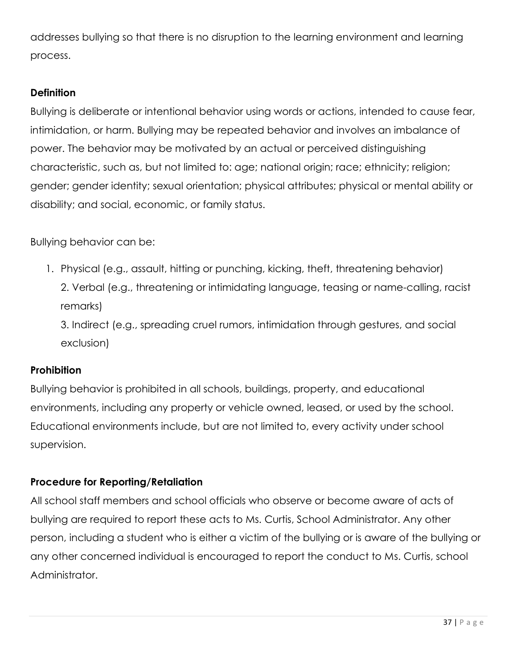addresses bullying so that there is no disruption to the learning environment and learning process.

#### **Definition**

Bullying is deliberate or intentional behavior using words or actions, intended to cause fear, intimidation, or harm. Bullying may be repeated behavior and involves an imbalance of power. The behavior may be motivated by an actual or perceived distinguishing characteristic, such as, but not limited to: age; national origin; race; ethnicity; religion; gender; gender identity; sexual orientation; physical attributes; physical or mental ability or disability; and social, economic, or family status.

Bullying behavior can be:

1. Physical (e.g., assault, hitting or punching, kicking, theft, threatening behavior) 2. Verbal (e.g., threatening or intimidating language, teasing or name-calling, racist remarks)

3. Indirect (e.g., spreading cruel rumors, intimidation through gestures, and social exclusion)

#### **Prohibition**

Bullying behavior is prohibited in all schools, buildings, property, and educational environments, including any property or vehicle owned, leased, or used by the school. Educational environments include, but are not limited to, every activity under school supervision.

#### **Procedure for Reporting/Retaliation**

All school staff members and school officials who observe or become aware of acts of bullying are required to report these acts to Ms. Curtis, School Administrator. Any other person, including a student who is either a victim of the bullying or is aware of the bullying or any other concerned individual is encouraged to report the conduct to Ms. Curtis, school Administrator.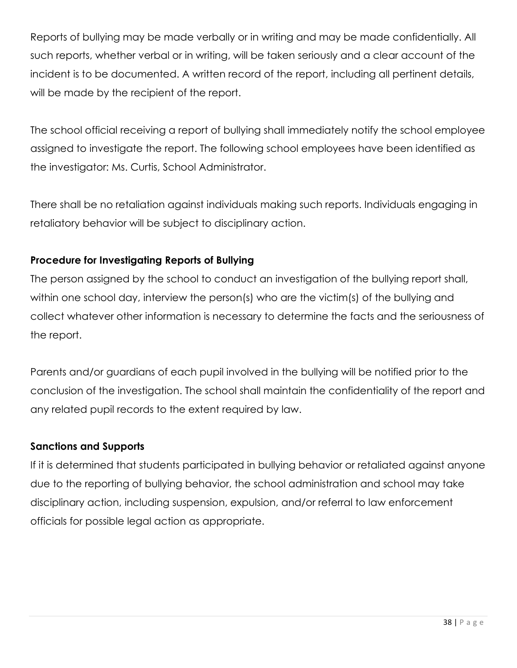Reports of bullying may be made verbally or in writing and may be made confidentially. All such reports, whether verbal or in writing, will be taken seriously and a clear account of the incident is to be documented. A written record of the report, including all pertinent details, will be made by the recipient of the report.

The school official receiving a report of bullying shall immediately notify the school employee assigned to investigate the report. The following school employees have been identified as the investigator: Ms. Curtis, School Administrator.

There shall be no retaliation against individuals making such reports. Individuals engaging in retaliatory behavior will be subject to disciplinary action.

#### **Procedure for Investigating Reports of Bullying**

The person assigned by the school to conduct an investigation of the bullying report shall, within one school day, interview the person(s) who are the victim(s) of the bullying and collect whatever other information is necessary to determine the facts and the seriousness of the report.

Parents and/or guardians of each pupil involved in the bullying will be notified prior to the conclusion of the investigation. The school shall maintain the confidentiality of the report and any related pupil records to the extent required by law.

#### **Sanctions and Supports**

If it is determined that students participated in bullying behavior or retaliated against anyone due to the reporting of bullying behavior, the school administration and school may take disciplinary action, including suspension, expulsion, and/or referral to law enforcement officials for possible legal action as appropriate.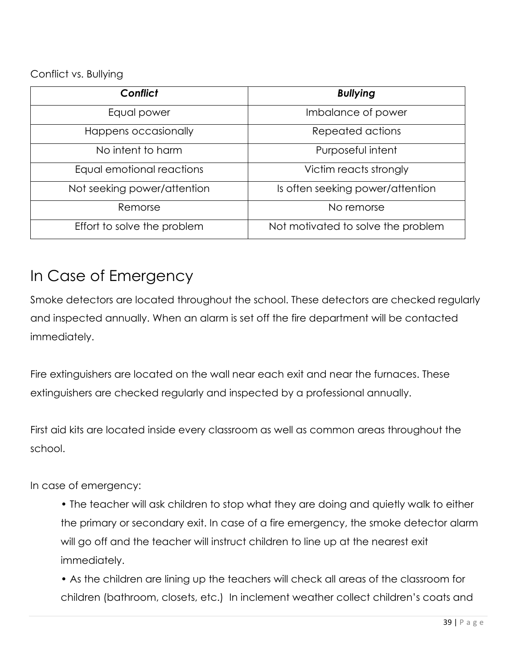Conflict vs. Bullying

| <b>Conflict</b>             | <b>Bullying</b>                    |  |  |  |  |
|-----------------------------|------------------------------------|--|--|--|--|
| Equal power                 | Imbalance of power                 |  |  |  |  |
| Happens occasionally        | Repeated actions                   |  |  |  |  |
| No intent to harm           | Purposeful intent                  |  |  |  |  |
| Equal emotional reactions   | Victim reacts strongly             |  |  |  |  |
| Not seeking power/attention | Is often seeking power/attention   |  |  |  |  |
| Remorse                     | No remorse                         |  |  |  |  |
| Effort to solve the problem | Not motivated to solve the problem |  |  |  |  |

# In Case of Emergency

Smoke detectors are located throughout the school. These detectors are checked regularly and inspected annually. When an alarm is set off the fire department will be contacted immediately.

Fire extinguishers are located on the wall near each exit and near the furnaces. These extinguishers are checked regularly and inspected by a professional annually.

First aid kits are located inside every classroom as well as common areas throughout the school.

In case of emergency:

• The teacher will ask children to stop what they are doing and quietly walk to either the primary or secondary exit. In case of a fire emergency, the smoke detector alarm will go off and the teacher will instruct children to line up at the nearest exit immediately.

• As the children are lining up the teachers will check all areas of the classroom for children (bathroom, closets, etc.) In inclement weather collect children's coats and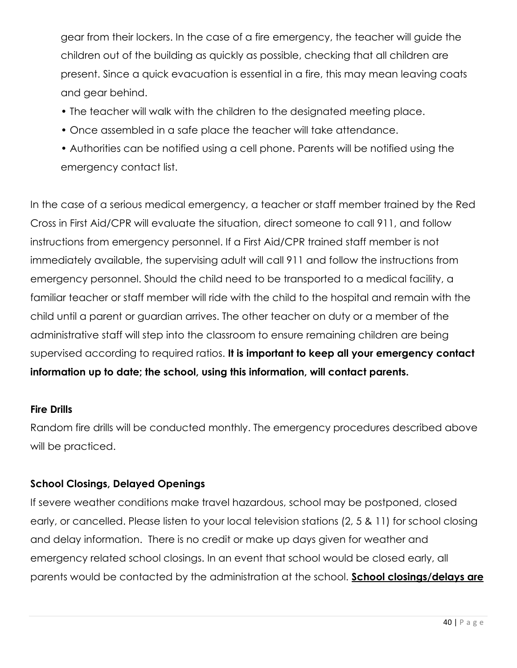gear from their lockers. In the case of a fire emergency, the teacher will guide the children out of the building as quickly as possible, checking that all children are present. Since a quick evacuation is essential in a fire, this may mean leaving coats and gear behind.

- The teacher will walk with the children to the designated meeting place.
- Once assembled in a safe place the teacher will take attendance.
- Authorities can be notified using a cell phone. Parents will be notified using the emergency contact list.

In the case of a serious medical emergency, a teacher or staff member trained by the Red Cross in First Aid/CPR will evaluate the situation, direct someone to call 911, and follow instructions from emergency personnel. If a First Aid/CPR trained staff member is not immediately available, the supervising adult will call 911 and follow the instructions from emergency personnel. Should the child need to be transported to a medical facility, a familiar teacher or staff member will ride with the child to the hospital and remain with the child until a parent or guardian arrives. The other teacher on duty or a member of the administrative staff will step into the classroom to ensure remaining children are being supervised according to required ratios. **It is important to keep all your emergency contact information up to date; the school, using this information, will contact parents.**

#### **Fire Drills**

Random fire drills will be conducted monthly. The emergency procedures described above will be practiced.

#### **School Closings, Delayed Openings**

If severe weather conditions make travel hazardous, school may be postponed, closed early, or cancelled. Please listen to your local television stations (2, 5 & 11) for school closing and delay information. There is no credit or make up days given for weather and emergency related school closings. In an event that school would be closed early, all parents would be contacted by the administration at the school. **School closings/delays are**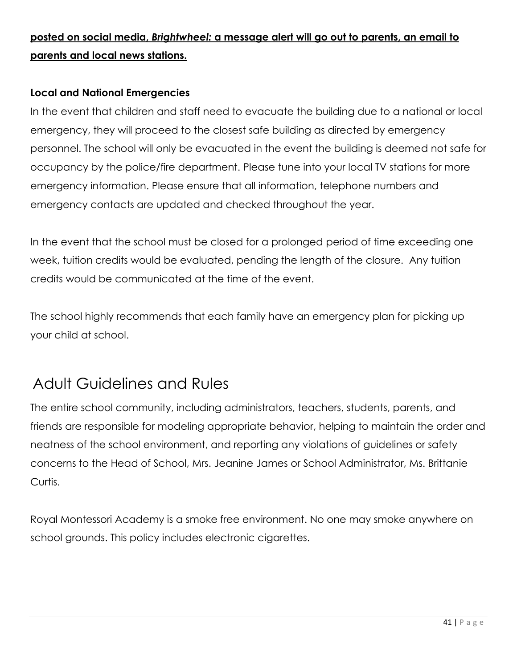### **posted on social media,** *Brightwheel:* **a message alert will go out to parents, an email to parents and local news stations.**

#### **Local and National Emergencies**

In the event that children and staff need to evacuate the building due to a national or local emergency, they will proceed to the closest safe building as directed by emergency personnel. The school will only be evacuated in the event the building is deemed not safe for occupancy by the police/fire department. Please tune into your local TV stations for more emergency information. Please ensure that all information, telephone numbers and emergency contacts are updated and checked throughout the year.

In the event that the school must be closed for a prolonged period of time exceeding one week, tuition credits would be evaluated, pending the length of the closure. Any tuition credits would be communicated at the time of the event.

The school highly recommends that each family have an emergency plan for picking up your child at school.

### Adult Guidelines and Rules

The entire school community, including administrators, teachers, students, parents, and friends are responsible for modeling appropriate behavior, helping to maintain the order and neatness of the school environment, and reporting any violations of guidelines or safety concerns to the Head of School, Mrs. Jeanine James or School Administrator, Ms. Brittanie Curtis.

Royal Montessori Academy is a smoke free environment. No one may smoke anywhere on school grounds. This policy includes electronic cigarettes.